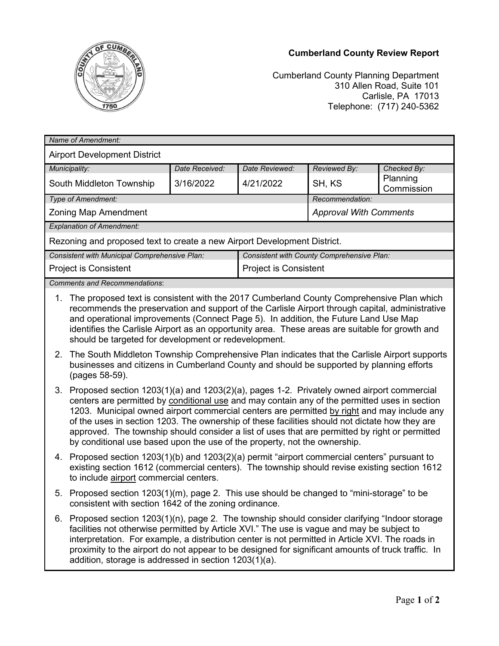## **Cumberland County Review Report**



Cumberland County Planning Department 310 Allen Road, Suite 101 Carlisle, PA 17013 Telephone: (717) 240-5362

| Name of Amendment:                                                       |                                            |                       |                               |                        |
|--------------------------------------------------------------------------|--------------------------------------------|-----------------------|-------------------------------|------------------------|
| <b>Airport Development District</b>                                      |                                            |                       |                               |                        |
| Municipality:                                                            | Date Received:                             | Date Reviewed:        | Reviewed By:                  | Checked By:            |
| South Middleton Township                                                 | 3/16/2022                                  | 4/21/2022             | SH, KS                        | Planning<br>Commission |
| Type of Amendment:                                                       |                                            |                       | Recommendation:               |                        |
| Zoning Map Amendment                                                     |                                            |                       | <b>Approval With Comments</b> |                        |
| <b>Explanation of Amendment:</b>                                         |                                            |                       |                               |                        |
| Rezoning and proposed text to create a new Airport Development District. |                                            |                       |                               |                        |
| Consistent with Municipal Comprehensive Plan:                            | Consistent with County Comprehensive Plan: |                       |                               |                        |
| <b>Project is Consistent</b>                                             |                                            | Project is Consistent |                               |                        |
| <b>Comments and Recommendations:</b>                                     |                                            |                       |                               |                        |

- 1. The proposed text is consistent with the 2017 Cumberland County Comprehensive Plan which recommends the preservation and support of the Carlisle Airport through capital, administrative and operational improvements (Connect Page 5). In addition, the Future Land Use Map identifies the Carlisle Airport as an opportunity area. These areas are suitable for growth and should be targeted for development or redevelopment.
- 2. The South Middleton Township Comprehensive Plan indicates that the Carlisle Airport supports businesses and citizens in Cumberland County and should be supported by planning efforts (pages 58-59).
- 3. Proposed section 1203(1)(a) and 1203(2)(a), pages 1-2. Privately owned airport commercial centers are permitted by conditional use and may contain any of the permitted uses in section 1203. Municipal owned airport commercial centers are permitted by right and may include any of the uses in section 1203. The ownership of these facilities should not dictate how they are approved. The township should consider a list of uses that are permitted by right or permitted by conditional use based upon the use of the property, not the ownership.
- 4. Proposed section 1203(1)(b) and 1203(2)(a) permit "airport commercial centers" pursuant to existing section 1612 (commercial centers). The township should revise existing section 1612 to include airport commercial centers.
- 5. Proposed section 1203(1)(m), page 2. This use should be changed to "mini-storage" to be consistent with section 1642 of the zoning ordinance.
- 6. Proposed section 1203(1)(n), page 2. The township should consider clarifying "Indoor storage facilities not otherwise permitted by Article XVI." The use is vague and may be subject to interpretation. For example, a distribution center is not permitted in Article XVI. The roads in proximity to the airport do not appear to be designed for significant amounts of truck traffic. In addition, storage is addressed in section 1203(1)(a).